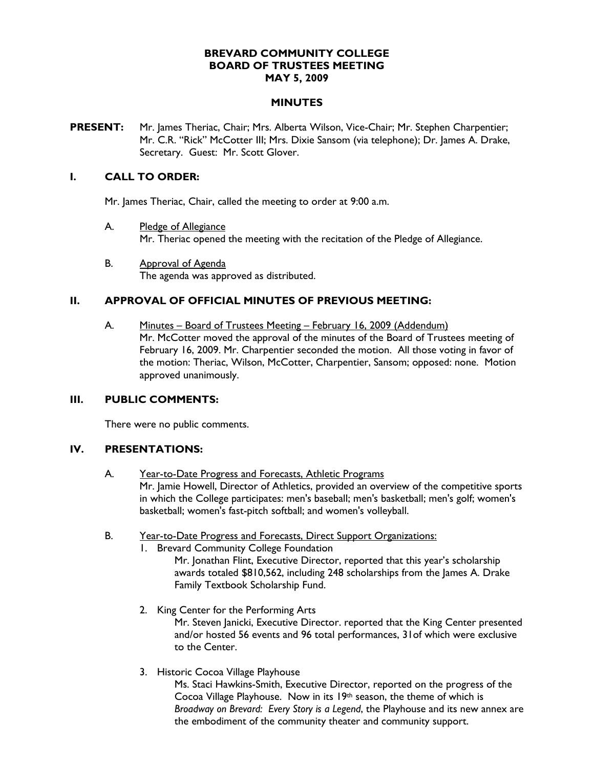## **BREVARD COMMUNITY COLLEGE BOARD OF TRUSTEES MEETING MAY 5, 2009**

### **MINUTES**

**PRESENT:** Mr. James Theriac, Chair; Mrs. Alberta Wilson, Vice-Chair; Mr. Stephen Charpentier; Mr. C.R. "Rick" McCotter III; Mrs. Dixie Sansom (via telephone); Dr. James A. Drake, Secretary. Guest: Mr. Scott Glover.

## **I. CALL TO ORDER:**

Mr. James Theriac, Chair, called the meeting to order at 9:00 a.m.

- A. Pledge of Allegiance Mr. Theriac opened the meeting with the recitation of the Pledge of Allegiance.
- B. Approval of Agenda The agenda was approved as distributed.

## **II. APPROVAL OF OFFICIAL MINUTES OF PREVIOUS MEETING:**

A. Minutes – Board of Trustees Meeting – February 16, 2009 (Addendum) Mr. McCotter moved the approval of the minutes of the Board of Trustees meeting of February 16, 2009. Mr. Charpentier seconded the motion. All those voting in favor of the motion: Theriac, Wilson, McCotter, Charpentier, Sansom; opposed: none. Motion approved unanimously.

## **III. PUBLIC COMMENTS:**

There were no public comments.

## **IV. PRESENTATIONS:**

- A. Year-to-Date Progress and Forecasts, Athletic Programs Mr. Jamie Howell, Director of Athletics, provided an overview of the competitive sports in which the College participates: men's baseball; men's basketball; men's golf; women's basketball; women's fast-pitch softball; and women's volleyball.
- B. Year-to-Date Progress and Forecasts, Direct Support Organizations:
	- 1. Brevard Community College Foundation
		- Mr. Jonathan Flint, Executive Director, reported that this year's scholarship awards totaled \$810,562, including 248 scholarships from the James A. Drake Family Textbook Scholarship Fund.
	- 2. King Center for the Performing Arts Mr. Steven Janicki, Executive Director. reported that the King Center presented and/or hosted 56 events and 96 total performances, 31of which were exclusive to the Center.
	- 3. Historic Cocoa Village Playhouse

Ms. Staci Hawkins-Smith, Executive Director, reported on the progress of the Cocoa Village Playhouse. Now in its 19th season, the theme of which is *Broadway on Brevard: Every Story is a Legend*, the Playhouse and its new annex are the embodiment of the community theater and community support.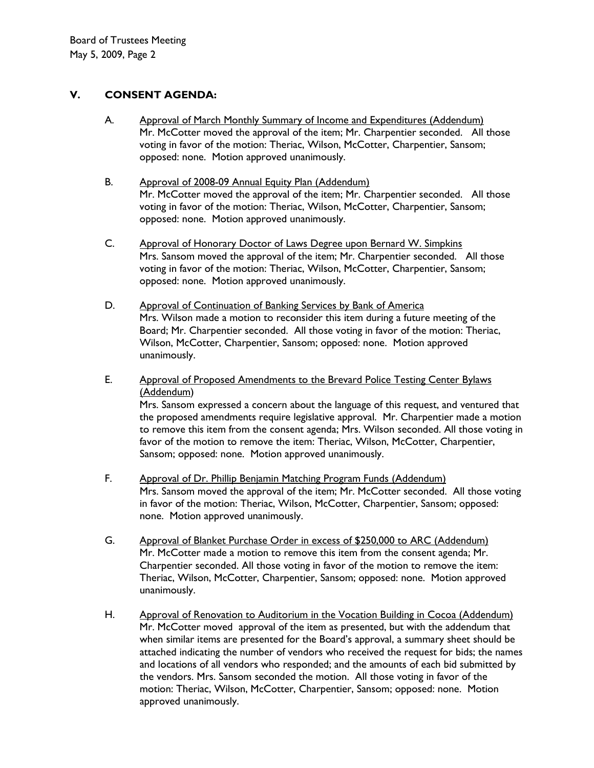# **V. CONSENT AGENDA:**

- A. Mr. McCotter moved the approval of the item; Mr. Charpentier seconded. All those voting in favor of the motion: Theriac, Wilson, McCotter, Charpentier, Sansom; opposed: none. Motion approved unanimously. Approval of March Monthly Summary of Income and Expenditures (Addendum)
- B. Mr. McCotter moved the approval of the item; Mr. Charpentier seconded. All those voting in favor of the motion: Theriac, Wilson, McCotter, Charpentier, Sansom; opposed: none. Motion approved unanimously. Approval of 2008-09 Annual Equity Plan (Addendum)
- C. Mrs. Sansom moved the approval of the item; Mr. Charpentier seconded. All those voting in favor of the motion: Theriac, Wilson, McCotter, Charpentier, Sansom; opposed: none. Motion approved unanimously. Approval of Honorary Doctor of Laws Degree upon Bernard W. Simpkins
- D. Mrs. Wilson made a motion to reconsider this item during a future meeting of the Board; Mr. Charpentier seconded. All those voting in favor of the motion: Theriac, Wilson, McCotter, Charpentier, Sansom; opposed: none. Motion approved unanimously. Approval of Continuation of Banking Services by Bank of America
- E. Approval of Proposed Amendments to the Brevard Police Testing Center Bylaws (Addendum ) Mrs. Sansom expressed a concern about the language of this request, and ventured that the proposed amendments require legislative approval. Mr. Charpentier made a motion to remove this item from the consent agenda; Mrs. Wilson seconded. All those voting in favor of the motion to remove the item: Theriac, Wilson, McCotter, Charpentier, Sansom; opposed: none. Motion approved unanimously.
- F. Mrs. Sansom moved the approval of the item; Mr. McCotter seconded. All those voting in favor of the motion: Theriac, Wilson, McCotter, Charpentier, Sansom; opposed: none. Motion approved unanimously. Approval of Dr. Phillip Benjamin Matching Program Funds (Addendum)
- G. Mr. McCotter made a motion to remove this item from the consent agenda; Mr. Charpentier seconded. All those voting in favor of the motion to remove the item: Theriac, Wilson, McCotter, Charpentier, Sansom; opposed: none. Motion approved unanimously. Approval of Blanket Purchase Order in excess of \$250,000 to ARC (Addendum)
- H. Mr. McCotter moved approval of the item as presented, but with the addendum that when similar items are presented for the Board's approval, a summary sheet should be attached indicating the number of vendors who received the request for bids; the names and locations of all vendors who responded; and the amounts of each bid submitted by the vendors. Mrs. Sansom seconded the motion. All those voting in favor of the motion: Theriac, Wilson, McCotter, Charpentier, Sansom; opposed: none. Motion approved unanimously. Approval of Renovation to Auditorium in the Vocation Building in Cocoa (Addendum)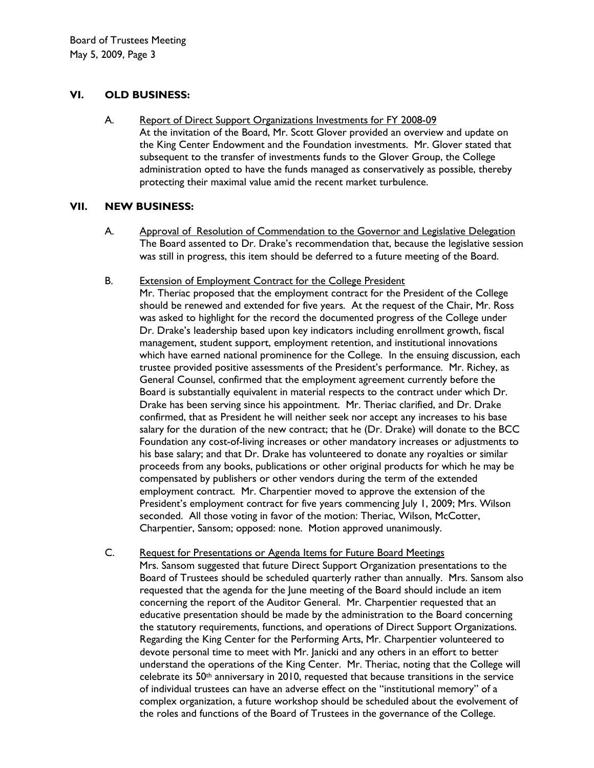## **VI. OLD BUSINESS:**

A. At the invitation of the Board, Mr. Scott Glover provided an overview and update on the King Center Endowment and the Foundation investments. Mr. Glover stated that subsequent to the transfer of investments funds to the Glover Group, the College administration opted to have the funds managed as conservatively as possible, thereby protecting their maximal value amid the recent market turbulence. Report of Direct Support Organizations Investments for FY 2008-09

# **VII. NEW BUSINESS:**

A. The Board assented to Dr. Drake's recommendation that, because the legislative session was still in progress, this item should be deferred to a future meeting of the Board. Approval of Resolution of Commendation to the Governor and Legislative Delegation

#### B. Extension of Employment Contract for the College President

Mr. Theriac proposed that the employment contract for the President of the College should be renewed and extended for five years. At the request of the Chair, Mr. Ross was asked to highlight for the record the documented progress of the College under Dr. Drake's leadership based upon key indicators including enrollment growth, fiscal management, student support, employment retention, and institutional innovations which have earned national prominence for the College. In the ensuing discussion, each trustee provided positive assessments of the President's performance. Mr. Richey, as General Counsel, confirmed that the employment agreement currently before the Board is substantially equivalent in material respects to the contract under which Dr. Drake has been serving since his appointment. Mr. Theriac clarified, and Dr. Drake confirmed, that as President he will neither seek nor accept any increases to his base salary for the duration of the new contract; that he (Dr. Drake) will donate to the BCC Foundation any cost-of-living increases or other mandatory increases or adjustments to his base salary; and that Dr. Drake has volunteered to donate any royalties or similar proceeds from any books, publications or other original products for which he may be compensated by publishers or other vendors during the term of the extended employment contract. Mr. Charpentier moved to approve the extension of the President's employment contract for five years commencing July 1, 2009; Mrs. Wilson seconded. All those voting in favor of the motion: Theriac, Wilson, McCotter, Charpentier, Sansom; opposed: none. Motion approved unanimously.

C. Mrs. Sansom suggested that future Direct Support Organization presentations to the Board of Trustees should be scheduled quarterly rather than annually. Mrs. Sansom also requested that the agenda for the June meeting of the Board should include an item concerning the report of the Auditor General. Mr. Charpentier requested that an educative presentation should be made by the administration to the Board concerning the statutory requirements, functions, and operations of Direct Support Organizations. Regarding the King Center for the Performing Arts, Mr. Charpentier volunteered to devote personal time to meet with Mr. Janicki and any others in an effort to better understand the operations of the King Center. Mr. Theriac, noting that the College will celebrate its 50<sup>th</sup> anniversary in 2010, requested that because transitions in the service Request for Presentations or Agenda Items for Future Board Meetings of individual trustees can have an adverse effect on the "institutional memory" of a complex organization, a future workshop should be scheduled about the evolvement of the roles and functions of the Board of Trustees in the governance of the College.